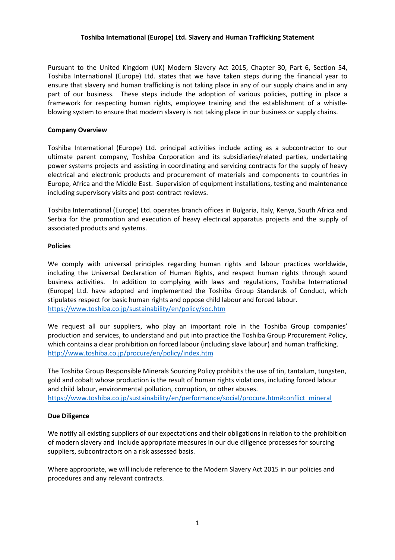### Toshiba International (Europe) Ltd. Slavery and Human Trafficking Statement

Pursuant to the United Kingdom (UK) Modern Slavery Act 2015, Chapter 30, Part 6, Section 54, Toshiba International (Europe) Ltd. states that we have taken steps during the financial year to ensure that slavery and human trafficking is not taking place in any of our supply chains and in any part of our business. These steps include the adoption of various policies, putting in place a framework for respecting human rights, employee training and the establishment of a whistleblowing system to ensure that modern slavery is not taking place in our business or supply chains.

### Company Overview

Toshiba International (Europe) Ltd. principal activities include acting as a subcontractor to our ultimate parent company, Toshiba Corporation and its subsidiaries/related parties, undertaking power systems projects and assisting in coordinating and servicing contracts for the supply of heavy electrical and electronic products and procurement of materials and components to countries in Europe, Africa and the Middle East. Supervision of equipment installations, testing and maintenance including supervisory visits and post-contract reviews.

Toshiba International (Europe) Ltd. operates branch offices in Bulgaria, Italy, Kenya, South Africa and Serbia for the promotion and execution of heavy electrical apparatus projects and the supply of associated products and systems.

## Policies

We comply with universal principles regarding human rights and labour practices worldwide, including the Universal Declaration of Human Rights, and respect human rights through sound business activities. In addition to complying with laws and regulations, Toshiba International (Europe) Ltd. have adopted and implemented the Toshiba Group Standards of Conduct, which stipulates respect for basic human rights and oppose child labour and forced labour. https://www.toshiba.co.jp/sustainability/en/policy/soc.htm

We request all our suppliers, who play an important role in the Toshiba Group companies' production and services, to understand and put into practice the Toshiba Group Procurement Policy, which contains a clear prohibition on forced labour (including slave labour) and human trafficking. http://www.toshiba.co.jp/procure/en/policy/index.htm

The Toshiba Group Responsible Minerals Sourcing Policy prohibits the use of tin, tantalum, tungsten, gold and cobalt whose production is the result of human rights violations, including forced labour and child labour, environmental pollution, corruption, or other abuses. https://www.toshiba.co.jp/sustainability/en/performance/social/procure.htm#conflict\_mineral

# Due Diligence

We notify all existing suppliers of our expectations and their obligations in relation to the prohibition of modern slavery and include appropriate measures in our due diligence processes for sourcing suppliers, subcontractors on a risk assessed basis.

Where appropriate, we will include reference to the Modern Slavery Act 2015 in our policies and procedures and any relevant contracts.